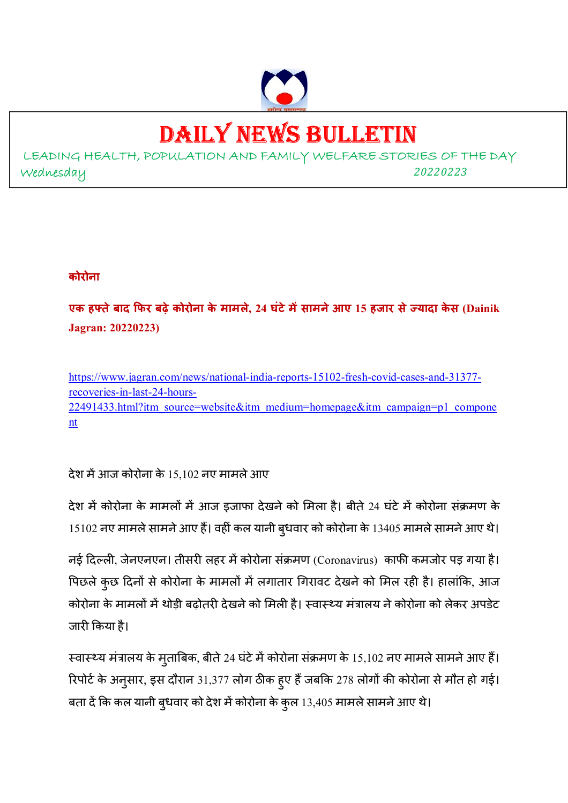

# DAILY NEWS BULLETIN

LEADING HEALTH, POPULATION AND FAMILY WELFARE STORIES OF THE DAY Wednesday *<sup>20220223</sup>*

## **कोरोना**

**एक ह तेबाद फर बढ़ेकोरोना के मामले, 24 घंटेमसामनेआए 15 हजार सेयादा के स (Dainik Jagran: 20220223)** 

https://www.jagran.com/news/national-india-reports-15102-fresh-covid-cases-and-31377 recoveries-in-last-24-hours-22491433.html?itm\_source=website&itm\_medium=homepage&itm\_campaign=p1\_compone nt

देश में आज कोरोना के 15,102 नए मामले आए

देश में कोरोना के मामलों में आज इजाफा देखने को मिला है। बीते 24 घंटे में कोरोना संक्रमण के 15102 नए मामले सामने आए हैं। वहीं कल यानी बुधवार को कोरोना के 13405 मामले सामने आए थे।

नई दिल्ली, जेनएनएन। तीसरी लहर में कोरोना संक्रमण (Coronavirus) काफी कमजोर पड़ गया है। पिछले कुछ दिनों से कोरोना के मामलों में लगातार गिरावट देखने को मिल रही है। हालांकि, आज कोरोना के मामलों में थोड़ी बढोतरी देखने को मिली है। स्वास्थ्य मंत्रालय ने कोरोना को लेकर अपडेट जारी किया है।

स्वास्थ्य मंत्रालय के मुताबिक, बीते 24 घंटे में कोरोना संक्रमण के 15,102 नए मामले सामने आए हैं। रिपोर्ट के अनुसार, इस दौरान 31,377 लोग ठीक हुए हैं जबकि 278 लोगों की कोरोना से मौत हो गई। बता दें कि कल यानी बुधवार को देश में कोरोना के कुल 13,405 मामले सामने आए थे।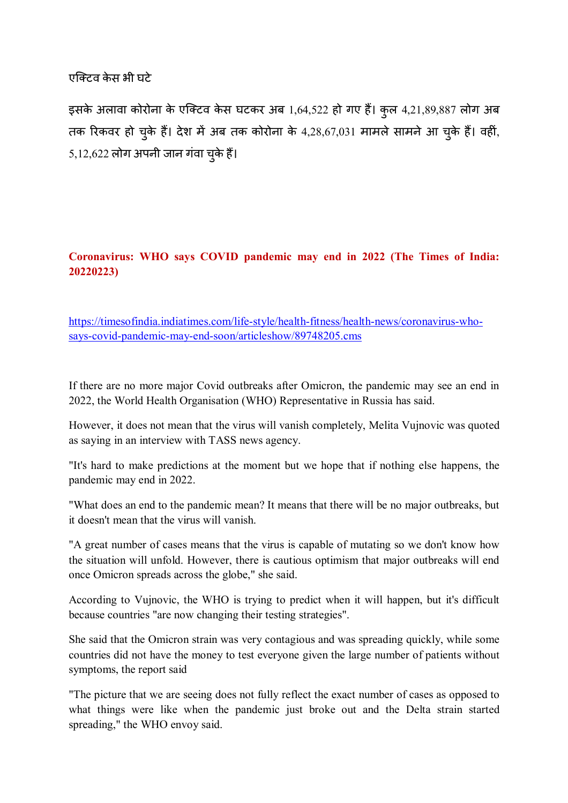एक्टिव केस भी घटे

इसके अलावा कोरोना के एक्टिव केस घटकर अब 1,64,522 हो गए हैं। कुल 4,21,89,887 लोग अब तक रिकवर हो चुके हैं। देश में अब तक कोरोना के 4,28,67,031 मामले सामने आ चुके हैं। वहीं,  $5,12,622$  लोग अपनी जान गंवा चुके हैं।

## **Coronavirus: WHO says COVID pandemic may end in 2022 (The Times of India: 20220223)**

https://timesofindia.indiatimes.com/life-style/health-fitness/health-news/coronavirus-whosays-covid-pandemic-may-end-soon/articleshow/89748205.cms

If there are no more major Covid outbreaks after Omicron, the pandemic may see an end in 2022, the World Health Organisation (WHO) Representative in Russia has said.

However, it does not mean that the virus will vanish completely, Melita Vujnovic was quoted as saying in an interview with TASS news agency.

"It's hard to make predictions at the moment but we hope that if nothing else happens, the pandemic may end in 2022.

"What does an end to the pandemic mean? It means that there will be no major outbreaks, but it doesn't mean that the virus will vanish.

"A great number of cases means that the virus is capable of mutating so we don't know how the situation will unfold. However, there is cautious optimism that major outbreaks will end once Omicron spreads across the globe," she said.

According to Vujnovic, the WHO is trying to predict when it will happen, but it's difficult because countries "are now changing their testing strategies".

She said that the Omicron strain was very contagious and was spreading quickly, while some countries did not have the money to test everyone given the large number of patients without symptoms, the report said

"The picture that we are seeing does not fully reflect the exact number of cases as opposed to what things were like when the pandemic just broke out and the Delta strain started spreading," the WHO envoy said.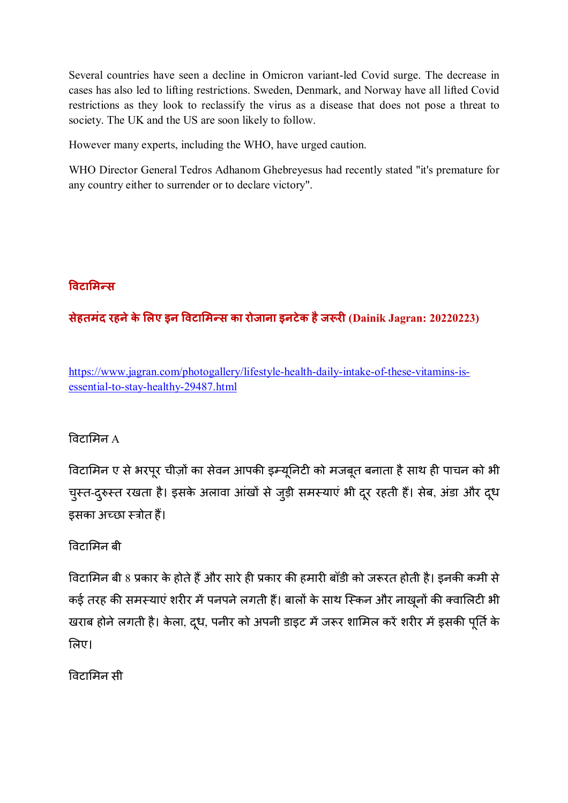Several countries have seen a decline in Omicron variant-led Covid surge. The decrease in cases has also led to lifting restrictions. Sweden, Denmark, and Norway have all lifted Covid restrictions as they look to reclassify the virus as a disease that does not pose a threat to society. The UK and the US are soon likely to follow.

However many experts, including the WHO, have urged caution.

WHO Director General Tedros Adhanom Ghebreyesus had recently stated "it's premature for any country either to surrender or to declare victory".

# **विटामिन्स**

# **सेहतमंद रहनेकेलए इन वटामस का रोजाना इनटेक हैज"र# (Dainik Jagran: 20220223)**

https://www.jagran.com/photogallery/lifestyle-health-daily-intake-of-these-vitamins-isessential-to-stay-healthy-29487.html

# /वटामन A

विटामिन ए से भरपूर चीज़ों का सेवन आपकी इम्यूनिटी को मजबूत बनाता है साथ ही पाचन को भी चुस्त-दुरुस्त रखता है। इसके अलावा आंखों से जुड़ी समस्याएं भी दूर रहती हैं। सेब, अंडा और दूध इसका अच्छा स्त्रोत हैं।

# /वटामन बी

विटामिन बी 8 प्रकार के होते हैं और सारे ही प्रकार की हमारी बॉडी को जरूरत होती है। इनकी कमी से कई तरह की समस्याएं शरीर में पनपने लगती हैं। बालों के साथ स्किन और नाखूनों की क्वालिटी भी खराब होने लगती है। केला, दुध, पनीर को अपनी डाइट में जरूर शामिल करें शरीर में इसकी पूर्ति के लिए।

/वटामन सी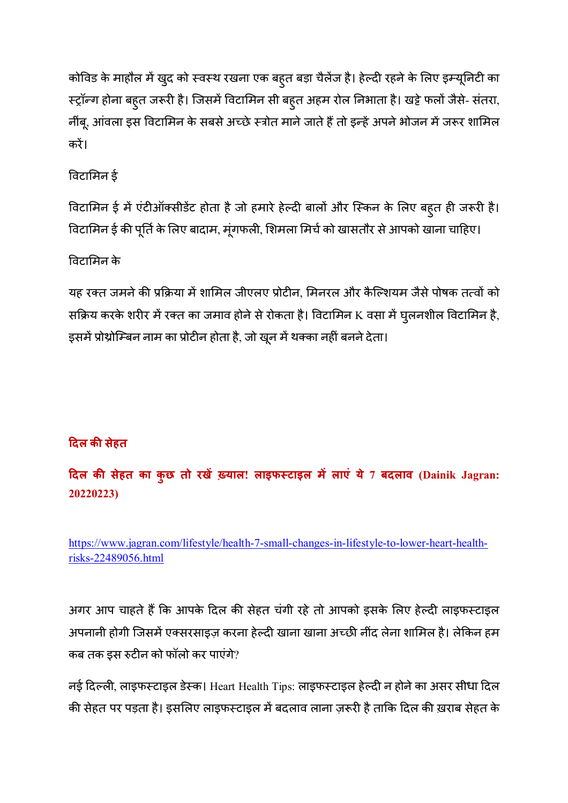कोविड के माहौल में खुद को स्वस्थ रखना एक बहुत बड़ा चैलेंज है। हेल्दी रहने के लिए इम्यूनिटी का स्ट्रॉन्ग होना बहुत जरूरी है। जिसमें विटामिन सी बहुत अहम रोल निभाता है। खट्टे फलों जैसे- संतरा, नींबू, आंवला इस विटामिन के सबसे अच्छे स्त्रोत माने जाते हैं तो इन्हें अपने भोजन में जरूर शामिल कर।

# /वटामन ई

विटामिन ई में एंटीऑक्सीडेंट होता है जो हमारे हेल्दी बालों और स्किन के लिए बहुत ही जरूरी है। विटामिन ई की पूर्ति के लिए बादाम, मूंगफली, शिमला मिर्च को खासतौर से आपको खाना चाहिए।

# /वटामन के

यह रक्त जमने की प्रक्रिया में शामिल जीएलए प्रोटीन, मिनरल और कैल्शियम जैसे पोषक तत्वों को सक्रिय करके शरीर में रक्त का जमाव होने से रोकता है। विटामिन K वसा में घुलनशील विटामिन है, इसमें प्रोथ्रोम्बिन नाम का प्रोटीन होता है, जो खून में थक्का नहीं बनने देता।

# **\$दल क% सेहत**

**\$दल क% सेहत का कुछ तो रख)याल! लाइफ\*टाइल मलाएं ये 7 बदलाव (Dainik Jagran: 20220223)** 

https://www.jagran.com/lifestyle/health-7-small-changes-in-lifestyle-to-lower-heart-healthrisks-22489056.html

अगर आप चाहते हैं कि आपके दिल की सेहत चंगी रहे तो आपको इसके लिए हेल्दी लाइफस्टाइल अपनानी होगी जिसमें एक्सरसाइज़ करना हेल्दी खाना खाना अच्छी नींद लेना शामिल है। लेकिन हम कब तक इस रुटीन को फॉलो कर पाएंगे?

नई दिल्ली, लाइफस्टाइल डेस्क। Heart Health Tips: लाइफस्टाइल हेल्दी न होने का असर सीधा दिल की सेहत पर पड़ता है। इसलिए लाइफस्टाइल में बदलाव लाना ज़रूरी है ताकि दिल की ख़राब सेहत के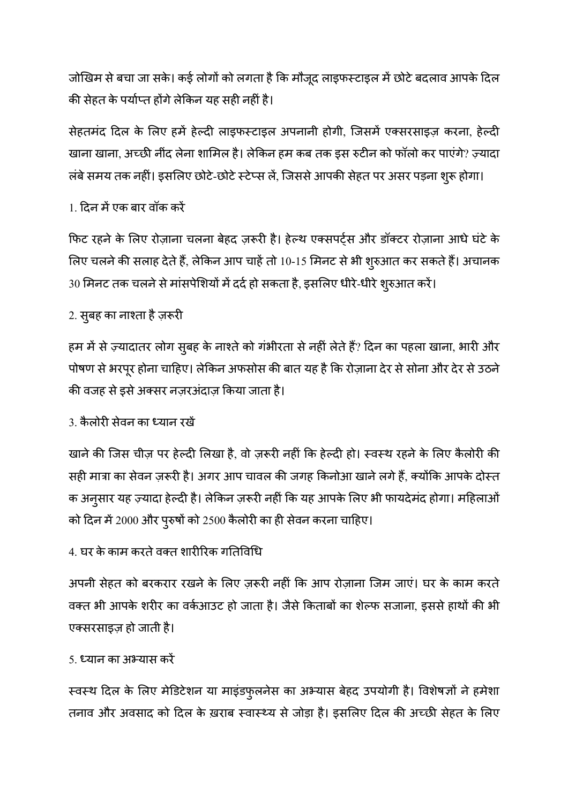जोखिम से बचा जा सके। कई लोगों को लगता है कि मौजूद लाइफस्टाइल में छोटे बदलाव आपके दिल की सेहत के पर्याप्त होंगे लेकिन यह सही नहीं है।

सेहतमंद दिल के लिए हमें हेल्दी लाइफस्टाइल अपनानी होगी, जिसमें एक्सरसाइज़ करना, हेल्दी खाना खाना, अच्छी नींद लेना शामिल है। लेकिन हम कब तक इस रुटीन को फॉलो कर पाएंगे? ज़्यादा लंबे समय तक नहीं। इसलिए छोटे-छोटे स्टेप्स लें, जिससे आपकी सेहत पर असर पड़ना शुरू होगा।

# 1. दिन में एक बार वॉक करें

फिट रहने के लिए रोज़ाना चलना बेहद ज़रूरी है। हेल्थ एक्सपर्ट्स और डॉक्टर रोज़ाना आधे घंटे के लिए चलने की सलाह देते हैं, लेकिन आप चाहें तो 10-15 मिनट से भी शुरुआत कर सकते हैं। अचानक 30 मिनट तक चलने से मांसपेशियों में दर्द हो सकता है, इसलिए धीरे-धीरे शुरुआत करें।

# 2. सुबह का नाश्ता है ज़रूरी

हम में से ज़्यादातर लोग सुबह के नाश्ते को गंभीरता से नहीं लेते हैं? दिन का पहला खाना, भारी और पोषण से भरपूर होना चाहिए। लेकिन अफसोस की बात यह है कि रोज़ाना देर से सोना और देर से उठने की वजह से इसे अक्सर नज़रअंदाज़ किया जाता है।

## 3. कैलोरी सेवन का ध्यान रखें

खाने की जिस चीज़ पर हेल्दी लिखा है, वो ज़रूरी नहीं कि हेल्दी हो। स्वस्थ रहने के लिए कैलोरी की सही मात्रा का सेवन ज़रूरी है। अगर आप चावल की जगह किनोआ खाने लगे हैं, क्योंकि आपके दोस्त क अनुसार यह ज़्यादा हेल्दी है। लेकिन ज़रूरी नहीं कि यह आपके लिए भी फायदेमंद होगा। महिलाओं को दिन में 2000 और पुरुषों को 2500 कैलोरी का ही सेवन करना चाहिए।

# 4. घर के काम करते वक्त शारीरिक गतिविधि

अपनी सेहत को बरकरार रखने के लिए ज़रूरी नहीं कि आप रोज़ाना जिम जाएं। घर के काम करते वक्त भी आपके शरीर का वर्कआउट हो जाता है। जैसे किताबों का शेल्फ सजाना, इससे हाथों की भी ए@सरसाइज़ हो जाती है।

## 5. ध्यान का अभ्यास करें

स्वस्थ दिल के लिए मेडिटेशन या माइंडफुलनेस का अभ्यास बेहद उपयोगी है। विशेषज्ञों ने हमेशा तनाव और अवसाद को दिल के ख़राब स्वास्थ्य से जोड़ा है। इसलिए दिल की अच्छी सेहत के लिए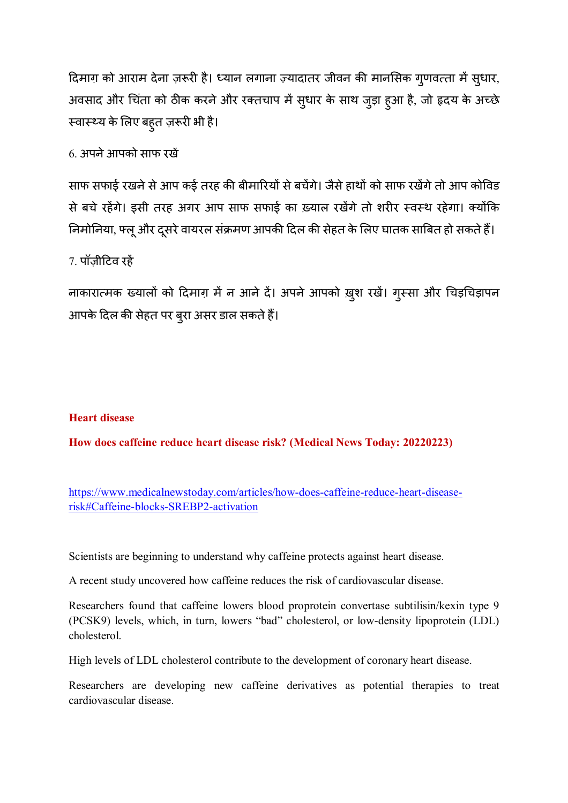दिमाग़ को आराम देना ज़रूरी है। ध्यान लगाना ज़्यादातर जीवन की मानसिक गुणवत्ता में सुधार, अवसाद और चिंता को ठीक करने और रक्तचाप में सुधार के साथ जुड़ा हुआ है, जो हृदय के अच्छे स्वास्थ्य के लिए बहुत ज़रूरी भी है।

6. अपनेआपको साफ रख

साफ सफाई रखने से आप कई तरह की बीमारियों से बचेंगे। जैसे हाथों को साफ रखेंगे तो आप कोविड से बचे रहेंगे। इसी तरह अगर आप साफ सफाई का ख़्याल रखेंगे तो शरीर स्वस्थ रहेगा। क्योंकि निमोनिया, फ्लू और दूसरे वायरल संक्रमण आपकी दिल की सेहत के लिए घातक साबित हो सकते हैं।

7. पॉजीटिव रहें

नाकारात्मक ख्यालों को दिमाग़ में न आने दें। अपने आपको ख़ुश रखें। गुस्सा और चिड़चिड़ापन आपके दिल की सेहत पर बुरा असर डाल सकते हैं।

#### **Heart disease**

**How does caffeine reduce heart disease risk? (Medical News Today: 20220223)** 

https://www.medicalnewstoday.com/articles/how-does-caffeine-reduce-heart-diseaserisk#Caffeine-blocks-SREBP2-activation

Scientists are beginning to understand why caffeine protects against heart disease.

A recent study uncovered how caffeine reduces the risk of cardiovascular disease.

Researchers found that caffeine lowers blood proprotein convertase subtilisin/kexin type 9 (PCSK9) levels, which, in turn, lowers "bad" cholesterol, or low-density lipoprotein (LDL) cholesterol.

High levels of LDL cholesterol contribute to the development of coronary heart disease.

Researchers are developing new caffeine derivatives as potential therapies to treat cardiovascular disease.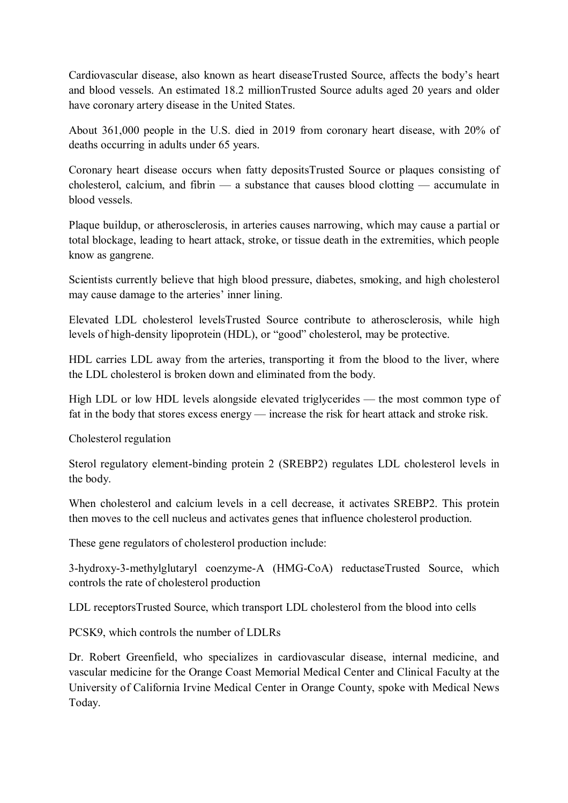Cardiovascular disease, also known as heart diseaseTrusted Source, affects the body's heart and blood vessels. An estimated 18.2 millionTrusted Source adults aged 20 years and older have coronary artery disease in the United States.

About 361,000 people in the U.S. died in 2019 from coronary heart disease, with 20% of deaths occurring in adults under 65 years.

Coronary heart disease occurs when fatty depositsTrusted Source or plaques consisting of cholesterol, calcium, and fibrin — a substance that causes blood clotting — accumulate in blood vessels.

Plaque buildup, or atherosclerosis, in arteries causes narrowing, which may cause a partial or total blockage, leading to heart attack, stroke, or tissue death in the extremities, which people know as gangrene.

Scientists currently believe that high blood pressure, diabetes, smoking, and high cholesterol may cause damage to the arteries' inner lining.

Elevated LDL cholesterol levelsTrusted Source contribute to atherosclerosis, while high levels of high-density lipoprotein (HDL), or "good" cholesterol, may be protective.

HDL carries LDL away from the arteries, transporting it from the blood to the liver, where the LDL cholesterol is broken down and eliminated from the body.

High LDL or low HDL levels alongside elevated triglycerides — the most common type of fat in the body that stores excess energy — increase the risk for heart attack and stroke risk.

Cholesterol regulation

Sterol regulatory element-binding protein 2 (SREBP2) regulates LDL cholesterol levels in the body.

When cholesterol and calcium levels in a cell decrease, it activates SREBP2. This protein then moves to the cell nucleus and activates genes that influence cholesterol production.

These gene regulators of cholesterol production include:

3-hydroxy-3-methylglutaryl coenzyme-A (HMG-CoA) reductaseTrusted Source, which controls the rate of cholesterol production

LDL receptorsTrusted Source, which transport LDL cholesterol from the blood into cells

PCSK9, which controls the number of LDLRs

Dr. Robert Greenfield, who specializes in cardiovascular disease, internal medicine, and vascular medicine for the Orange Coast Memorial Medical Center and Clinical Faculty at the University of California Irvine Medical Center in Orange County, spoke with Medical News Today.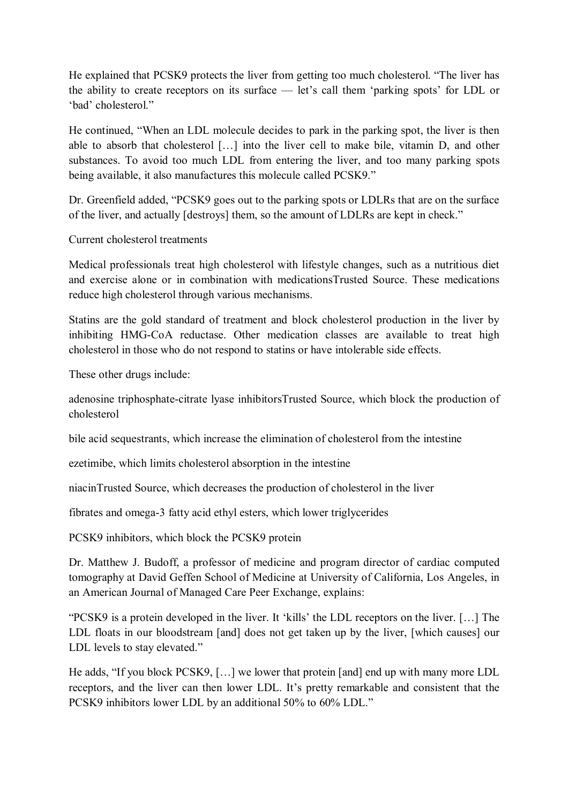He explained that PCSK9 protects the liver from getting too much cholesterol. "The liver has the ability to create receptors on its surface — let's call them 'parking spots' for LDL or 'bad' cholesterol."

He continued, "When an LDL molecule decides to park in the parking spot, the liver is then able to absorb that cholesterol […] into the liver cell to make bile, vitamin D, and other substances. To avoid too much LDL from entering the liver, and too many parking spots being available, it also manufactures this molecule called PCSK9."

Dr. Greenfield added, "PCSK9 goes out to the parking spots or LDLRs that are on the surface of the liver, and actually [destroys] them, so the amount of LDLRs are kept in check."

Current cholesterol treatments

Medical professionals treat high cholesterol with lifestyle changes, such as a nutritious diet and exercise alone or in combination with medicationsTrusted Source. These medications reduce high cholesterol through various mechanisms.

Statins are the gold standard of treatment and block cholesterol production in the liver by inhibiting HMG-CoA reductase. Other medication classes are available to treat high cholesterol in those who do not respond to statins or have intolerable side effects.

These other drugs include:

adenosine triphosphate-citrate lyase inhibitorsTrusted Source, which block the production of cholesterol

bile acid sequestrants, which increase the elimination of cholesterol from the intestine

ezetimibe, which limits cholesterol absorption in the intestine

niacinTrusted Source, which decreases the production of cholesterol in the liver

fibrates and omega-3 fatty acid ethyl esters, which lower triglycerides

PCSK9 inhibitors, which block the PCSK9 protein

Dr. Matthew J. Budoff, a professor of medicine and program director of cardiac computed tomography at David Geffen School of Medicine at University of California, Los Angeles, in an American Journal of Managed Care Peer Exchange, explains:

"PCSK9 is a protein developed in the liver. It 'kills' the LDL receptors on the liver. […] The LDL floats in our bloodstream [and] does not get taken up by the liver, [which causes] our LDL levels to stay elevated."

He adds, "If you block PCSK9, […] we lower that protein [and] end up with many more LDL receptors, and the liver can then lower LDL. It's pretty remarkable and consistent that the PCSK9 inhibitors lower LDL by an additional 50% to 60% LDL."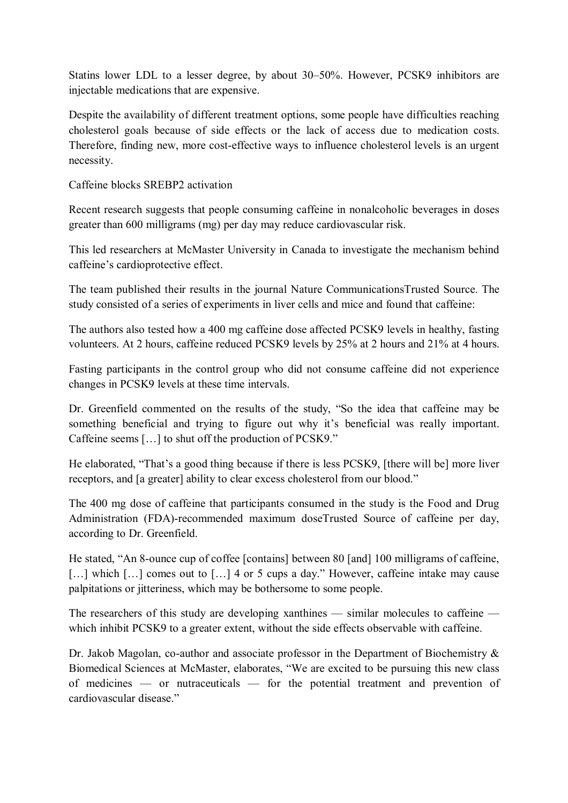Statins lower LDL to a lesser degree, by about 30–50%. However, PCSK9 inhibitors are injectable medications that are expensive.

Despite the availability of different treatment options, some people have difficulties reaching cholesterol goals because of side effects or the lack of access due to medication costs. Therefore, finding new, more cost-effective ways to influence cholesterol levels is an urgent necessity.

Caffeine blocks SREBP2 activation

Recent research suggests that people consuming caffeine in nonalcoholic beverages in doses greater than 600 milligrams (mg) per day may reduce cardiovascular risk.

This led researchers at McMaster University in Canada to investigate the mechanism behind caffeine's cardioprotective effect.

The team published their results in the journal Nature CommunicationsTrusted Source. The study consisted of a series of experiments in liver cells and mice and found that caffeine:

The authors also tested how a 400 mg caffeine dose affected PCSK9 levels in healthy, fasting volunteers. At 2 hours, caffeine reduced PCSK9 levels by 25% at 2 hours and 21% at 4 hours.

Fasting participants in the control group who did not consume caffeine did not experience changes in PCSK9 levels at these time intervals.

Dr. Greenfield commented on the results of the study, "So the idea that caffeine may be something beneficial and trying to figure out why it's beneficial was really important. Caffeine seems […] to shut off the production of PCSK9."

He elaborated, "That's a good thing because if there is less PCSK9, [there will be] more liver receptors, and [a greater] ability to clear excess cholesterol from our blood."

The 400 mg dose of caffeine that participants consumed in the study is the Food and Drug Administration (FDA)-recommended maximum doseTrusted Source of caffeine per day, according to Dr. Greenfield.

He stated, "An 8-ounce cup of coffee [contains] between 80 [and] 100 milligrams of caffeine, [...] which [...] comes out to [...] 4 or 5 cups a day." However, caffeine intake may cause palpitations or jitteriness, which may be bothersome to some people.

The researchers of this study are developing xanthines — similar molecules to caffeine which inhibit PCSK9 to a greater extent, without the side effects observable with caffeine.

Dr. Jakob Magolan, co-author and associate professor in the Department of Biochemistry  $\&$ Biomedical Sciences at McMaster, elaborates, "We are excited to be pursuing this new class of medicines — or nutraceuticals — for the potential treatment and prevention of cardiovascular disease."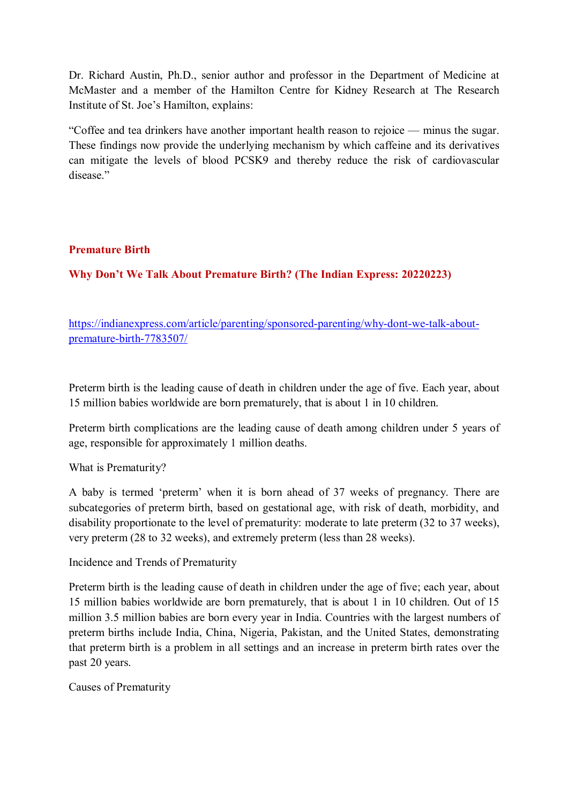Dr. Richard Austin, Ph.D., senior author and professor in the Department of Medicine at McMaster and a member of the Hamilton Centre for Kidney Research at The Research Institute of St. Joe's Hamilton, explains:

"Coffee and tea drinkers have another important health reason to rejoice — minus the sugar. These findings now provide the underlying mechanism by which caffeine and its derivatives can mitigate the levels of blood PCSK9 and thereby reduce the risk of cardiovascular disease."

#### **Premature Birth**

**Why Don't We Talk About Premature Birth? (The Indian Express: 20220223)** 

https://indianexpress.com/article/parenting/sponsored-parenting/why-dont-we-talk-aboutpremature-birth-7783507/

Preterm birth is the leading cause of death in children under the age of five. Each year, about 15 million babies worldwide are born prematurely, that is about 1 in 10 children.

Preterm birth complications are the leading cause of death among children under 5 years of age, responsible for approximately 1 million deaths.

What is Prematurity?

A baby is termed 'preterm' when it is born ahead of 37 weeks of pregnancy. There are subcategories of preterm birth, based on gestational age, with risk of death, morbidity, and disability proportionate to the level of prematurity: moderate to late preterm (32 to 37 weeks), very preterm (28 to 32 weeks), and extremely preterm (less than 28 weeks).

Incidence and Trends of Prematurity

Preterm birth is the leading cause of death in children under the age of five; each year, about 15 million babies worldwide are born prematurely, that is about 1 in 10 children. Out of 15 million 3.5 million babies are born every year in India. Countries with the largest numbers of preterm births include India, China, Nigeria, Pakistan, and the United States, demonstrating that preterm birth is a problem in all settings and an increase in preterm birth rates over the past 20 years.

Causes of Prematurity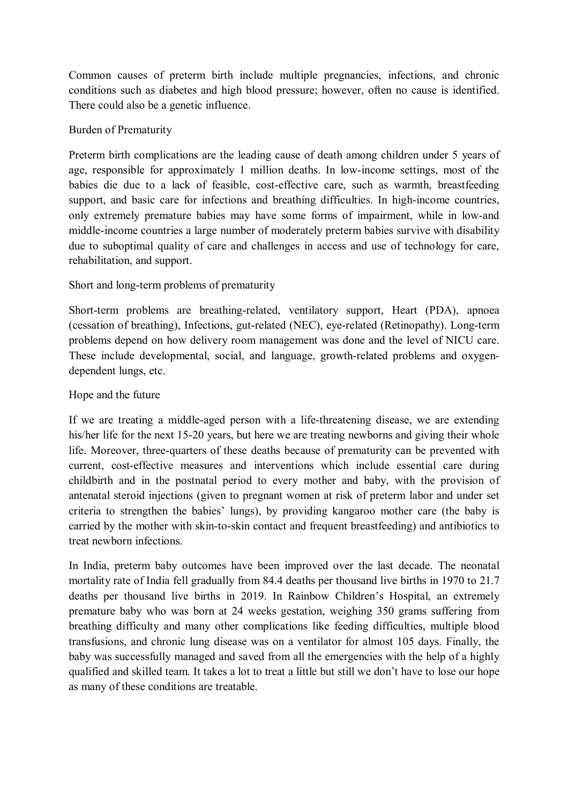Common causes of preterm birth include multiple pregnancies, infections, and chronic conditions such as diabetes and high blood pressure; however, often no cause is identified. There could also be a genetic influence.

## Burden of Prematurity

Preterm birth complications are the leading cause of death among children under 5 years of age, responsible for approximately 1 million deaths. In low-income settings, most of the babies die due to a lack of feasible, cost-effective care, such as warmth, breastfeeding support, and basic care for infections and breathing difficulties. In high-income countries, only extremely premature babies may have some forms of impairment, while in low-and middle-income countries a large number of moderately preterm babies survive with disability due to suboptimal quality of care and challenges in access and use of technology for care, rehabilitation, and support.

## Short and long-term problems of prematurity

Short-term problems are breathing-related, ventilatory support, Heart (PDA), apnoea (cessation of breathing), Infections, gut-related (NEC), eye-related (Retinopathy). Long-term problems depend on how delivery room management was done and the level of NICU care. These include developmental, social, and language, growth-related problems and oxygendependent lungs, etc.

## Hope and the future

If we are treating a middle-aged person with a life-threatening disease, we are extending his/her life for the next 15-20 years, but here we are treating newborns and giving their whole life. Moreover, three-quarters of these deaths because of prematurity can be prevented with current, cost-effective measures and interventions which include essential care during childbirth and in the postnatal period to every mother and baby, with the provision of antenatal steroid injections (given to pregnant women at risk of preterm labor and under set criteria to strengthen the babies' lungs), by providing kangaroo mother care (the baby is carried by the mother with skin-to-skin contact and frequent breastfeeding) and antibiotics to treat newborn infections.

In India, preterm baby outcomes have been improved over the last decade. The neonatal mortality rate of India fell gradually from 84.4 deaths per thousand live births in 1970 to 21.7 deaths per thousand live births in 2019. In Rainbow Children's Hospital, an extremely premature baby who was born at 24 weeks gestation, weighing 350 grams suffering from breathing difficulty and many other complications like feeding difficulties, multiple blood transfusions, and chronic lung disease was on a ventilator for almost 105 days. Finally, the baby was successfully managed and saved from all the emergencies with the help of a highly qualified and skilled team. It takes a lot to treat a little but still we don't have to lose our hope as many of these conditions are treatable.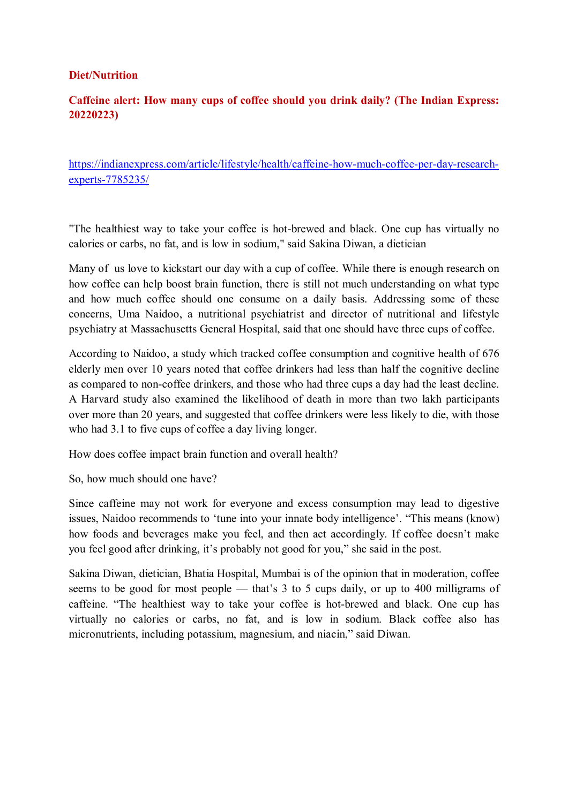#### **Diet/Nutrition**

## **Caffeine alert: How many cups of coffee should you drink daily? (The Indian Express: 20220223)**

https://indianexpress.com/article/lifestyle/health/caffeine-how-much-coffee-per-day-researchexperts-7785235/

"The healthiest way to take your coffee is hot-brewed and black. One cup has virtually no calories or carbs, no fat, and is low in sodium," said Sakina Diwan, a dietician

Many of us love to kickstart our day with a cup of coffee. While there is enough research on how coffee can help boost brain function, there is still not much understanding on what type and how much coffee should one consume on a daily basis. Addressing some of these concerns, Uma Naidoo, a nutritional psychiatrist and director of nutritional and lifestyle psychiatry at Massachusetts General Hospital, said that one should have three cups of coffee.

According to Naidoo, a study which tracked coffee consumption and cognitive health of 676 elderly men over 10 years noted that coffee drinkers had less than half the cognitive decline as compared to non-coffee drinkers, and those who had three cups a day had the least decline. A Harvard study also examined the likelihood of death in more than two lakh participants over more than 20 years, and suggested that coffee drinkers were less likely to die, with those who had 3.1 to five cups of coffee a day living longer.

How does coffee impact brain function and overall health?

So, how much should one have?

Since caffeine may not work for everyone and excess consumption may lead to digestive issues, Naidoo recommends to 'tune into your innate body intelligence'. "This means (know) how foods and beverages make you feel, and then act accordingly. If coffee doesn't make you feel good after drinking, it's probably not good for you," she said in the post.

Sakina Diwan, dietician, Bhatia Hospital, Mumbai is of the opinion that in moderation, coffee seems to be good for most people — that's 3 to 5 cups daily, or up to 400 milligrams of caffeine. "The healthiest way to take your coffee is hot-brewed and black. One cup has virtually no calories or carbs, no fat, and is low in sodium. Black coffee also has micronutrients, including potassium, magnesium, and niacin," said Diwan.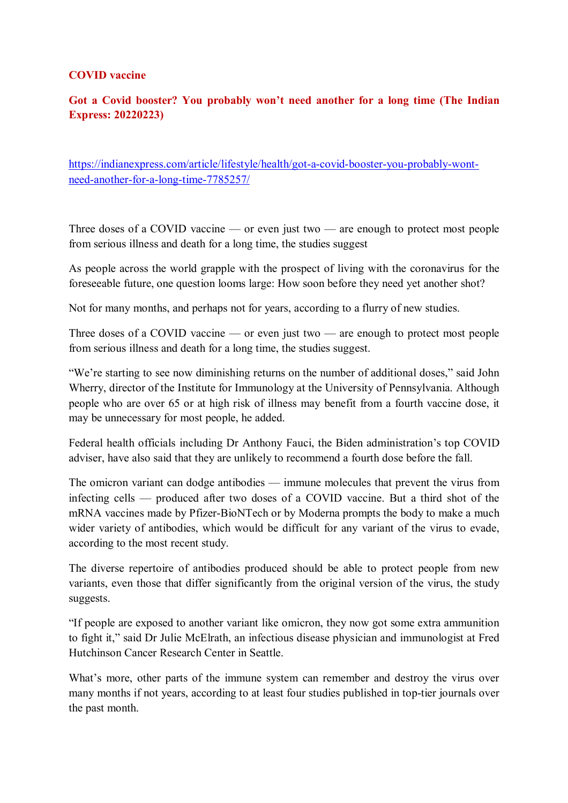#### **COVID vaccine**

## **Got a Covid booster? You probably won't need another for a long time (The Indian Express: 20220223)**

https://indianexpress.com/article/lifestyle/health/got-a-covid-booster-you-probably-wontneed-another-for-a-long-time-7785257/

Three doses of a COVID vaccine — or even just two — are enough to protect most people from serious illness and death for a long time, the studies suggest

As people across the world grapple with the prospect of living with the coronavirus for the foreseeable future, one question looms large: How soon before they need yet another shot?

Not for many months, and perhaps not for years, according to a flurry of new studies.

Three doses of a COVID vaccine — or even just two — are enough to protect most people from serious illness and death for a long time, the studies suggest.

"We're starting to see now diminishing returns on the number of additional doses," said John Wherry, director of the Institute for Immunology at the University of Pennsylvania. Although people who are over 65 or at high risk of illness may benefit from a fourth vaccine dose, it may be unnecessary for most people, he added.

Federal health officials including Dr Anthony Fauci, the Biden administration's top COVID adviser, have also said that they are unlikely to recommend a fourth dose before the fall.

The omicron variant can dodge antibodies — immune molecules that prevent the virus from infecting cells — produced after two doses of a COVID vaccine. But a third shot of the mRNA vaccines made by Pfizer-BioNTech or by Moderna prompts the body to make a much wider variety of antibodies, which would be difficult for any variant of the virus to evade, according to the most recent study.

The diverse repertoire of antibodies produced should be able to protect people from new variants, even those that differ significantly from the original version of the virus, the study suggests.

"If people are exposed to another variant like omicron, they now got some extra ammunition to fight it," said Dr Julie McElrath, an infectious disease physician and immunologist at Fred Hutchinson Cancer Research Center in Seattle.

What's more, other parts of the immune system can remember and destroy the virus over many months if not years, according to at least four studies published in top-tier journals over the past month.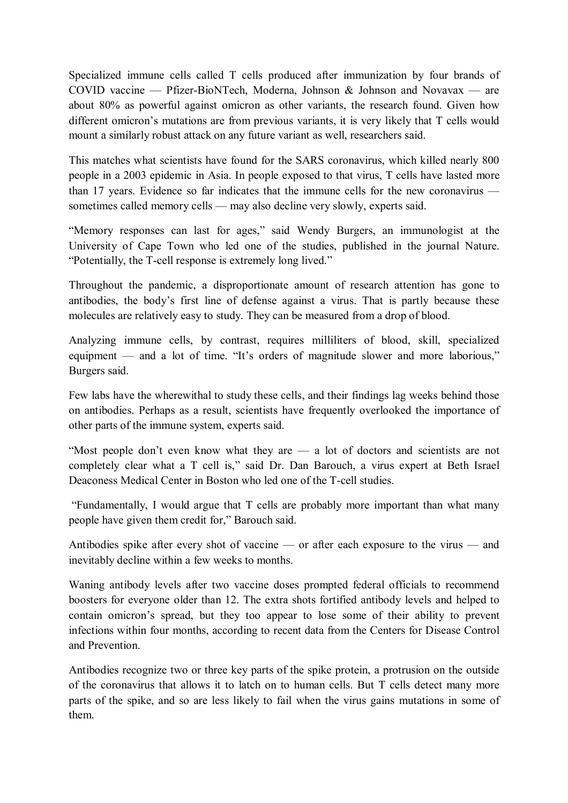Specialized immune cells called T cells produced after immunization by four brands of COVID vaccine — Pfizer-BioNTech, Moderna, Johnson & Johnson and Novavax — are about 80% as powerful against omicron as other variants, the research found. Given how different omicron's mutations are from previous variants, it is very likely that T cells would mount a similarly robust attack on any future variant as well, researchers said.

This matches what scientists have found for the SARS coronavirus, which killed nearly 800 people in a 2003 epidemic in Asia. In people exposed to that virus, T cells have lasted more than 17 years. Evidence so far indicates that the immune cells for the new coronavirus sometimes called memory cells — may also decline very slowly, experts said.

"Memory responses can last for ages," said Wendy Burgers, an immunologist at the University of Cape Town who led one of the studies, published in the journal Nature. "Potentially, the T-cell response is extremely long lived."

Throughout the pandemic, a disproportionate amount of research attention has gone to antibodies, the body's first line of defense against a virus. That is partly because these molecules are relatively easy to study. They can be measured from a drop of blood.

Analyzing immune cells, by contrast, requires milliliters of blood, skill, specialized equipment — and a lot of time. "It's orders of magnitude slower and more laborious," Burgers said.

Few labs have the wherewithal to study these cells, and their findings lag weeks behind those on antibodies. Perhaps as a result, scientists have frequently overlooked the importance of other parts of the immune system, experts said.

"Most people don't even know what they are — a lot of doctors and scientists are not completely clear what a T cell is," said Dr. Dan Barouch, a virus expert at Beth Israel Deaconess Medical Center in Boston who led one of the T-cell studies.

 "Fundamentally, I would argue that T cells are probably more important than what many people have given them credit for," Barouch said.

Antibodies spike after every shot of vaccine — or after each exposure to the virus — and inevitably decline within a few weeks to months.

Waning antibody levels after two vaccine doses prompted federal officials to recommend boosters for everyone older than 12. The extra shots fortified antibody levels and helped to contain omicron's spread, but they too appear to lose some of their ability to prevent infections within four months, according to recent data from the Centers for Disease Control and Prevention.

Antibodies recognize two or three key parts of the spike protein, a protrusion on the outside of the coronavirus that allows it to latch on to human cells. But T cells detect many more parts of the spike, and so are less likely to fail when the virus gains mutations in some of them.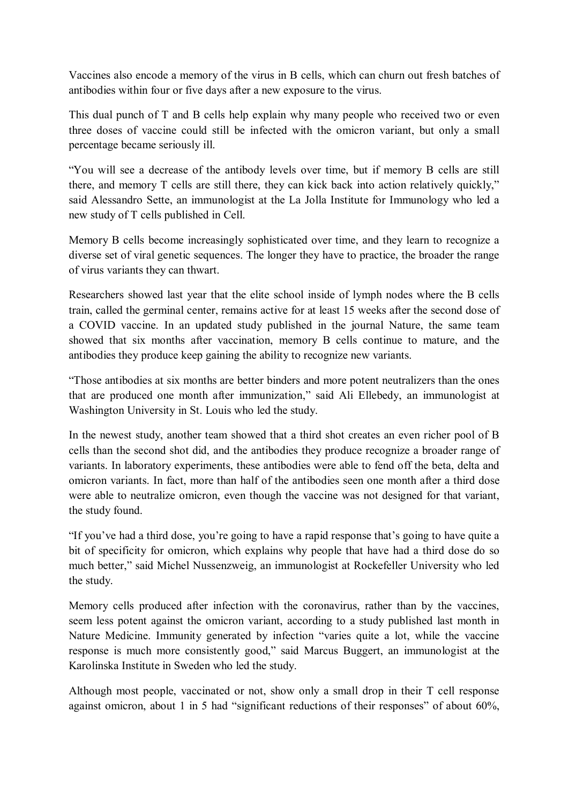Vaccines also encode a memory of the virus in B cells, which can churn out fresh batches of antibodies within four or five days after a new exposure to the virus.

This dual punch of T and B cells help explain why many people who received two or even three doses of vaccine could still be infected with the omicron variant, but only a small percentage became seriously ill.

"You will see a decrease of the antibody levels over time, but if memory B cells are still there, and memory T cells are still there, they can kick back into action relatively quickly," said Alessandro Sette, an immunologist at the La Jolla Institute for Immunology who led a new study of T cells published in Cell.

Memory B cells become increasingly sophisticated over time, and they learn to recognize a diverse set of viral genetic sequences. The longer they have to practice, the broader the range of virus variants they can thwart.

Researchers showed last year that the elite school inside of lymph nodes where the B cells train, called the germinal center, remains active for at least 15 weeks after the second dose of a COVID vaccine. In an updated study published in the journal Nature, the same team showed that six months after vaccination, memory B cells continue to mature, and the antibodies they produce keep gaining the ability to recognize new variants.

"Those antibodies at six months are better binders and more potent neutralizers than the ones that are produced one month after immunization," said Ali Ellebedy, an immunologist at Washington University in St. Louis who led the study.

In the newest study, another team showed that a third shot creates an even richer pool of B cells than the second shot did, and the antibodies they produce recognize a broader range of variants. In laboratory experiments, these antibodies were able to fend off the beta, delta and omicron variants. In fact, more than half of the antibodies seen one month after a third dose were able to neutralize omicron, even though the vaccine was not designed for that variant, the study found.

"If you've had a third dose, you're going to have a rapid response that's going to have quite a bit of specificity for omicron, which explains why people that have had a third dose do so much better," said Michel Nussenzweig, an immunologist at Rockefeller University who led the study.

Memory cells produced after infection with the coronavirus, rather than by the vaccines, seem less potent against the omicron variant, according to a study published last month in Nature Medicine. Immunity generated by infection "varies quite a lot, while the vaccine response is much more consistently good," said Marcus Buggert, an immunologist at the Karolinska Institute in Sweden who led the study.

Although most people, vaccinated or not, show only a small drop in their T cell response against omicron, about 1 in 5 had "significant reductions of their responses" of about 60%,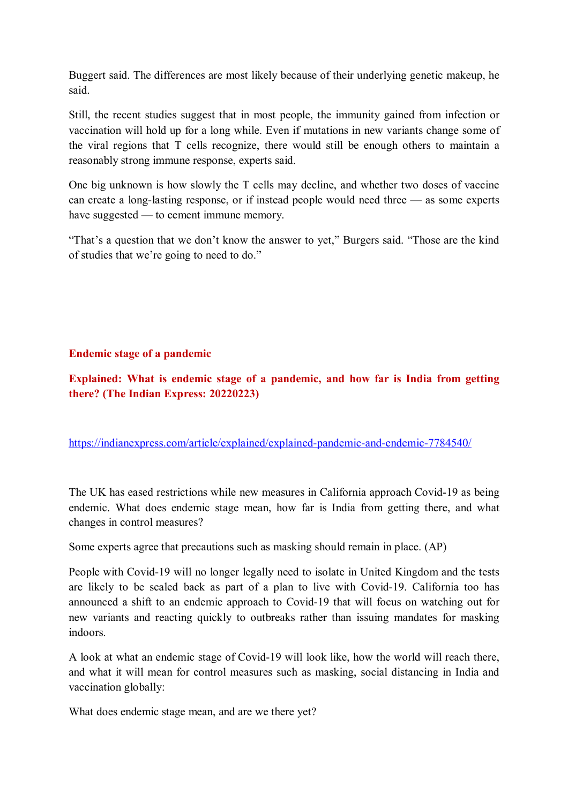Buggert said. The differences are most likely because of their underlying genetic makeup, he said.

Still, the recent studies suggest that in most people, the immunity gained from infection or vaccination will hold up for a long while. Even if mutations in new variants change some of the viral regions that T cells recognize, there would still be enough others to maintain a reasonably strong immune response, experts said.

One big unknown is how slowly the T cells may decline, and whether two doses of vaccine can create a long-lasting response, or if instead people would need three — as some experts have suggested — to cement immune memory.

"That's a question that we don't know the answer to yet," Burgers said. "Those are the kind of studies that we're going to need to do."

## **Endemic stage of a pandemic**

**Explained: What is endemic stage of a pandemic, and how far is India from getting there? (The Indian Express: 20220223)** 

https://indianexpress.com/article/explained/explained-pandemic-and-endemic-7784540/

The UK has eased restrictions while new measures in California approach Covid-19 as being endemic. What does endemic stage mean, how far is India from getting there, and what changes in control measures?

Some experts agree that precautions such as masking should remain in place. (AP)

People with Covid-19 will no longer legally need to isolate in United Kingdom and the tests are likely to be scaled back as part of a plan to live with Covid-19. California too has announced a shift to an endemic approach to Covid-19 that will focus on watching out for new variants and reacting quickly to outbreaks rather than issuing mandates for masking indoors.

A look at what an endemic stage of Covid-19 will look like, how the world will reach there, and what it will mean for control measures such as masking, social distancing in India and vaccination globally:

What does endemic stage mean, and are we there yet?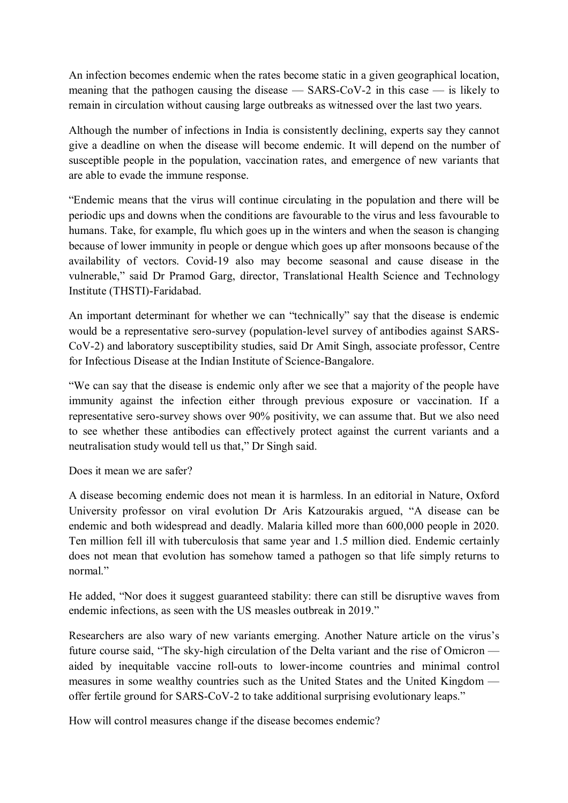An infection becomes endemic when the rates become static in a given geographical location, meaning that the pathogen causing the disease — SARS-CoV-2 in this case — is likely to remain in circulation without causing large outbreaks as witnessed over the last two years.

Although the number of infections in India is consistently declining, experts say they cannot give a deadline on when the disease will become endemic. It will depend on the number of susceptible people in the population, vaccination rates, and emergence of new variants that are able to evade the immune response.

"Endemic means that the virus will continue circulating in the population and there will be periodic ups and downs when the conditions are favourable to the virus and less favourable to humans. Take, for example, flu which goes up in the winters and when the season is changing because of lower immunity in people or dengue which goes up after monsoons because of the availability of vectors. Covid-19 also may become seasonal and cause disease in the vulnerable," said Dr Pramod Garg, director, Translational Health Science and Technology Institute (THSTI)-Faridabad.

An important determinant for whether we can "technically" say that the disease is endemic would be a representative sero-survey (population-level survey of antibodies against SARS-CoV-2) and laboratory susceptibility studies, said Dr Amit Singh, associate professor, Centre for Infectious Disease at the Indian Institute of Science-Bangalore.

"We can say that the disease is endemic only after we see that a majority of the people have immunity against the infection either through previous exposure or vaccination. If a representative sero-survey shows over 90% positivity, we can assume that. But we also need to see whether these antibodies can effectively protect against the current variants and a neutralisation study would tell us that," Dr Singh said.

Does it mean we are safer?

A disease becoming endemic does not mean it is harmless. In an editorial in Nature, Oxford University professor on viral evolution Dr Aris Katzourakis argued, "A disease can be endemic and both widespread and deadly. Malaria killed more than 600,000 people in 2020. Ten million fell ill with tuberculosis that same year and 1.5 million died. Endemic certainly does not mean that evolution has somehow tamed a pathogen so that life simply returns to normal"

He added, "Nor does it suggest guaranteed stability: there can still be disruptive waves from endemic infections, as seen with the US measles outbreak in 2019."

Researchers are also wary of new variants emerging. Another Nature article on the virus's future course said, "The sky-high circulation of the Delta variant and the rise of Omicron aided by inequitable vaccine roll-outs to lower-income countries and minimal control measures in some wealthy countries such as the United States and the United Kingdom offer fertile ground for SARS-CoV-2 to take additional surprising evolutionary leaps."

How will control measures change if the disease becomes endemic?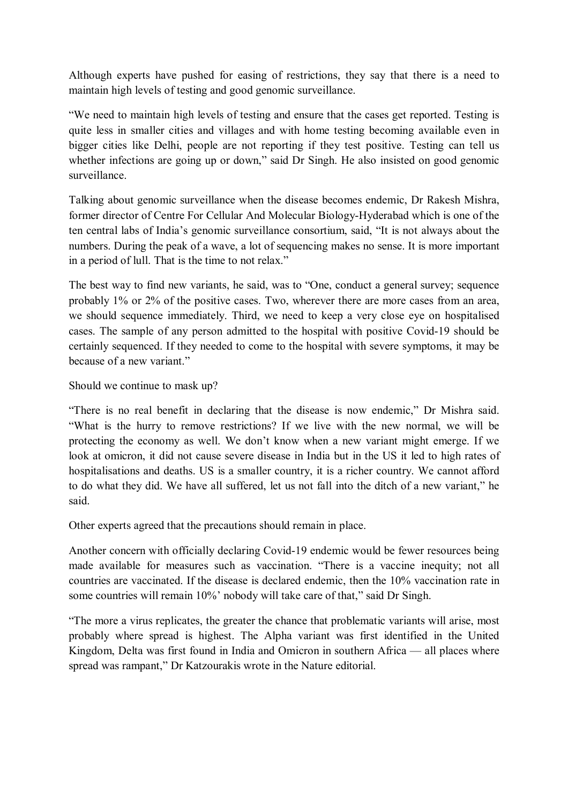Although experts have pushed for easing of restrictions, they say that there is a need to maintain high levels of testing and good genomic surveillance.

"We need to maintain high levels of testing and ensure that the cases get reported. Testing is quite less in smaller cities and villages and with home testing becoming available even in bigger cities like Delhi, people are not reporting if they test positive. Testing can tell us whether infections are going up or down," said Dr Singh. He also insisted on good genomic surveillance.

Talking about genomic surveillance when the disease becomes endemic, Dr Rakesh Mishra, former director of Centre For Cellular And Molecular Biology-Hyderabad which is one of the ten central labs of India's genomic surveillance consortium, said, "It is not always about the numbers. During the peak of a wave, a lot of sequencing makes no sense. It is more important in a period of lull. That is the time to not relax."

The best way to find new variants, he said, was to "One, conduct a general survey; sequence probably 1% or 2% of the positive cases. Two, wherever there are more cases from an area, we should sequence immediately. Third, we need to keep a very close eye on hospitalised cases. The sample of any person admitted to the hospital with positive Covid-19 should be certainly sequenced. If they needed to come to the hospital with severe symptoms, it may be because of a new variant."

Should we continue to mask up?

"There is no real benefit in declaring that the disease is now endemic," Dr Mishra said. "What is the hurry to remove restrictions? If we live with the new normal, we will be protecting the economy as well. We don't know when a new variant might emerge. If we look at omicron, it did not cause severe disease in India but in the US it led to high rates of hospitalisations and deaths. US is a smaller country, it is a richer country. We cannot afford to do what they did. We have all suffered, let us not fall into the ditch of a new variant," he said.

Other experts agreed that the precautions should remain in place.

Another concern with officially declaring Covid-19 endemic would be fewer resources being made available for measures such as vaccination. "There is a vaccine inequity; not all countries are vaccinated. If the disease is declared endemic, then the 10% vaccination rate in some countries will remain 10%' nobody will take care of that," said Dr Singh.

"The more a virus replicates, the greater the chance that problematic variants will arise, most probably where spread is highest. The Alpha variant was first identified in the United Kingdom, Delta was first found in India and Omicron in southern Africa — all places where spread was rampant," Dr Katzourakis wrote in the Nature editorial.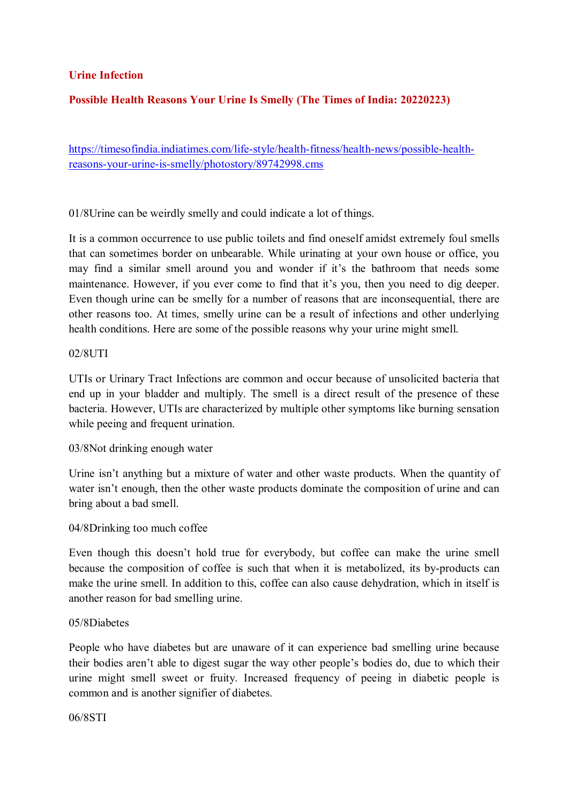#### **Urine Infection**

#### **Possible Health Reasons Your Urine Is Smelly (The Times of India: 20220223)**

https://timesofindia.indiatimes.com/life-style/health-fitness/health-news/possible-healthreasons-your-urine-is-smelly/photostory/89742998.cms

01/8Urine can be weirdly smelly and could indicate a lot of things.

It is a common occurrence to use public toilets and find oneself amidst extremely foul smells that can sometimes border on unbearable. While urinating at your own house or office, you may find a similar smell around you and wonder if it's the bathroom that needs some maintenance. However, if you ever come to find that it's you, then you need to dig deeper. Even though urine can be smelly for a number of reasons that are inconsequential, there are other reasons too. At times, smelly urine can be a result of infections and other underlying health conditions. Here are some of the possible reasons why your urine might smell.

#### 02/8UTI

UTIs or Urinary Tract Infections are common and occur because of unsolicited bacteria that end up in your bladder and multiply. The smell is a direct result of the presence of these bacteria. However, UTIs are characterized by multiple other symptoms like burning sensation while peeing and frequent urination.

#### 03/8Not drinking enough water

Urine isn't anything but a mixture of water and other waste products. When the quantity of water isn't enough, then the other waste products dominate the composition of urine and can bring about a bad smell.

#### 04/8Drinking too much coffee

Even though this doesn't hold true for everybody, but coffee can make the urine smell because the composition of coffee is such that when it is metabolized, its by-products can make the urine smell. In addition to this, coffee can also cause dehydration, which in itself is another reason for bad smelling urine.

#### 05/8Diabetes

People who have diabetes but are unaware of it can experience bad smelling urine because their bodies aren't able to digest sugar the way other people's bodies do, due to which their urine might smell sweet or fruity. Increased frequency of peeing in diabetic people is common and is another signifier of diabetes.

06/8STI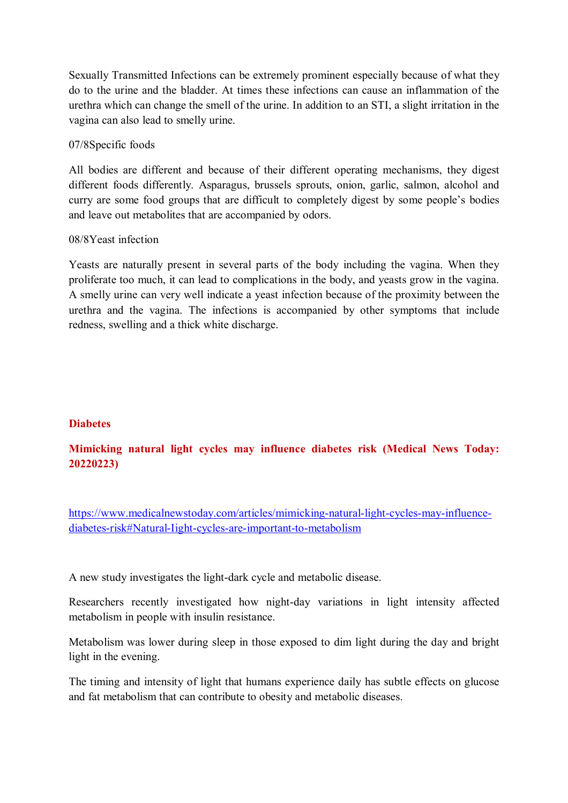Sexually Transmitted Infections can be extremely prominent especially because of what they do to the urine and the bladder. At times these infections can cause an inflammation of the urethra which can change the smell of the urine. In addition to an STI, a slight irritation in the vagina can also lead to smelly urine.

#### 07/8Specific foods

All bodies are different and because of their different operating mechanisms, they digest different foods differently. Asparagus, brussels sprouts, onion, garlic, salmon, alcohol and curry are some food groups that are difficult to completely digest by some people's bodies and leave out metabolites that are accompanied by odors.

## 08/8Yeast infection

Yeasts are naturally present in several parts of the body including the vagina. When they proliferate too much, it can lead to complications in the body, and yeasts grow in the vagina. A smelly urine can very well indicate a yeast infection because of the proximity between the urethra and the vagina. The infections is accompanied by other symptoms that include redness, swelling and a thick white discharge.

## **Diabetes**

## **Mimicking natural light cycles may influence diabetes risk (Medical News Today: 20220223)**

https://www.medicalnewstoday.com/articles/mimicking-natural-light-cycles-may-influencediabetes-risk#Natural-Iight-cycles-are-important-to-metabolism

A new study investigates the light-dark cycle and metabolic disease.

Researchers recently investigated how night-day variations in light intensity affected metabolism in people with insulin resistance.

Metabolism was lower during sleep in those exposed to dim light during the day and bright light in the evening.

The timing and intensity of light that humans experience daily has subtle effects on glucose and fat metabolism that can contribute to obesity and metabolic diseases.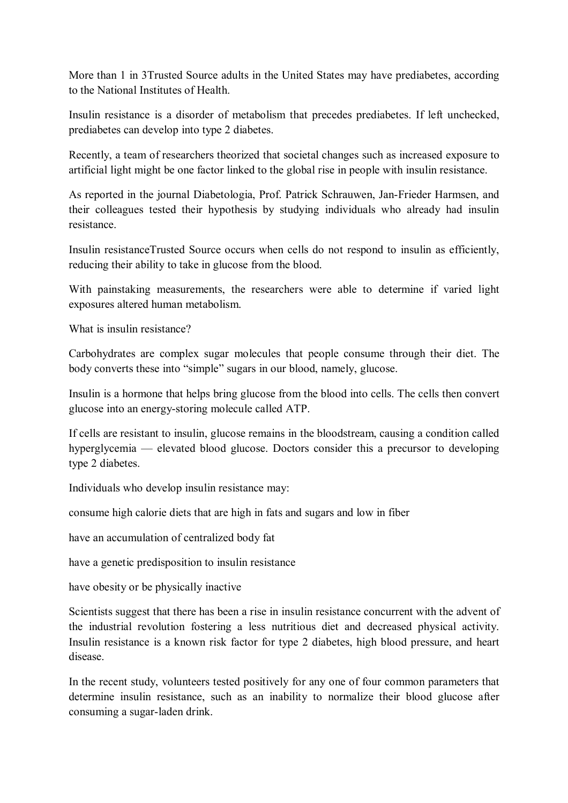More than 1 in 3Trusted Source adults in the United States may have prediabetes, according to the National Institutes of Health.

Insulin resistance is a disorder of metabolism that precedes prediabetes. If left unchecked, prediabetes can develop into type 2 diabetes.

Recently, a team of researchers theorized that societal changes such as increased exposure to artificial light might be one factor linked to the global rise in people with insulin resistance.

As reported in the journal Diabetologia, Prof. Patrick Schrauwen, Jan-Frieder Harmsen, and their colleagues tested their hypothesis by studying individuals who already had insulin resistance.

Insulin resistanceTrusted Source occurs when cells do not respond to insulin as efficiently, reducing their ability to take in glucose from the blood.

With painstaking measurements, the researchers were able to determine if varied light exposures altered human metabolism.

What is insulin resistance?

Carbohydrates are complex sugar molecules that people consume through their diet. The body converts these into "simple" sugars in our blood, namely, glucose.

Insulin is a hormone that helps bring glucose from the blood into cells. The cells then convert glucose into an energy-storing molecule called ATP.

If cells are resistant to insulin, glucose remains in the bloodstream, causing a condition called hyperglycemia — elevated blood glucose. Doctors consider this a precursor to developing type 2 diabetes.

Individuals who develop insulin resistance may:

consume high calorie diets that are high in fats and sugars and low in fiber

have an accumulation of centralized body fat

have a genetic predisposition to insulin resistance

have obesity or be physically inactive

Scientists suggest that there has been a rise in insulin resistance concurrent with the advent of the industrial revolution fostering a less nutritious diet and decreased physical activity. Insulin resistance is a known risk factor for type 2 diabetes, high blood pressure, and heart disease.

In the recent study, volunteers tested positively for any one of four common parameters that determine insulin resistance, such as an inability to normalize their blood glucose after consuming a sugar-laden drink.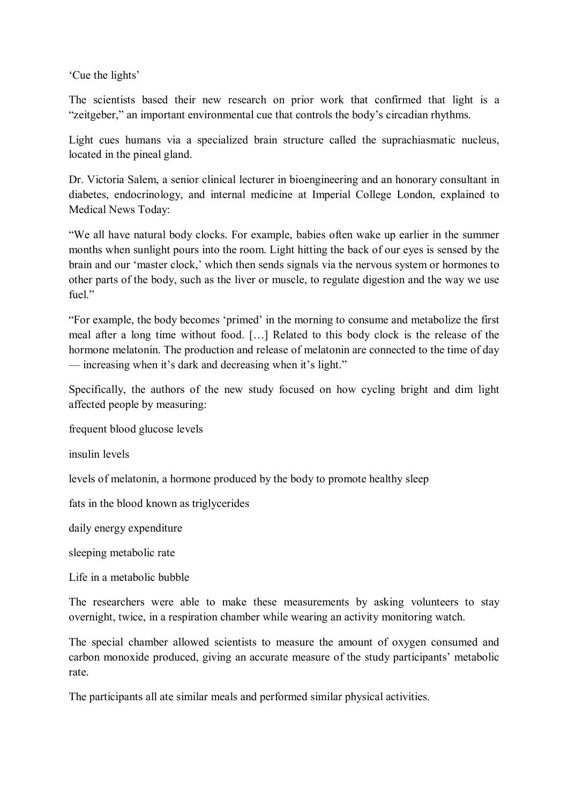'Cue the lights'

The scientists based their new research on prior work that confirmed that light is a "zeitgeber," an important environmental cue that controls the body's circadian rhythms.

Light cues humans via a specialized brain structure called the suprachiasmatic nucleus, located in the pineal gland.

Dr. Victoria Salem, a senior clinical lecturer in bioengineering and an honorary consultant in diabetes, endocrinology, and internal medicine at Imperial College London, explained to Medical News Today:

"We all have natural body clocks. For example, babies often wake up earlier in the summer months when sunlight pours into the room. Light hitting the back of our eyes is sensed by the brain and our 'master clock,' which then sends signals via the nervous system or hormones to other parts of the body, such as the liver or muscle, to regulate digestion and the way we use fuel."

"For example, the body becomes 'primed' in the morning to consume and metabolize the first meal after a long time without food. […] Related to this body clock is the release of the hormone melatonin. The production and release of melatonin are connected to the time of day — increasing when it's dark and decreasing when it's light."

Specifically, the authors of the new study focused on how cycling bright and dim light affected people by measuring:

frequent blood glucose levels

insulin levels

levels of melatonin, a hormone produced by the body to promote healthy sleep

fats in the blood known as triglycerides

daily energy expenditure

sleeping metabolic rate

Life in a metabolic bubble

The researchers were able to make these measurements by asking volunteers to stay overnight, twice, in a respiration chamber while wearing an activity monitoring watch.

The special chamber allowed scientists to measure the amount of oxygen consumed and carbon monoxide produced, giving an accurate measure of the study participants' metabolic rate.

The participants all ate similar meals and performed similar physical activities.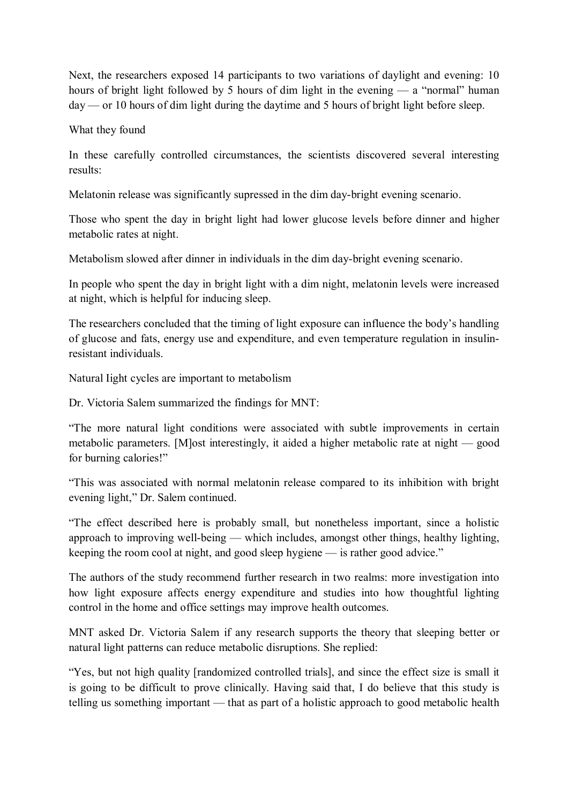Next, the researchers exposed 14 participants to two variations of daylight and evening: 10 hours of bright light followed by 5 hours of dim light in the evening — a "normal" human day — or 10 hours of dim light during the daytime and 5 hours of bright light before sleep.

What they found

In these carefully controlled circumstances, the scientists discovered several interesting results:

Melatonin release was significantly supressed in the dim day-bright evening scenario.

Those who spent the day in bright light had lower glucose levels before dinner and higher metabolic rates at night.

Metabolism slowed after dinner in individuals in the dim day-bright evening scenario.

In people who spent the day in bright light with a dim night, melatonin levels were increased at night, which is helpful for inducing sleep.

The researchers concluded that the timing of light exposure can influence the body's handling of glucose and fats, energy use and expenditure, and even temperature regulation in insulinresistant individuals.

Natural Iight cycles are important to metabolism

Dr. Victoria Salem summarized the findings for MNT:

"The more natural light conditions were associated with subtle improvements in certain metabolic parameters. [M]ost interestingly, it aided a higher metabolic rate at night — good for burning calories!"

"This was associated with normal melatonin release compared to its inhibition with bright evening light," Dr. Salem continued.

"The effect described here is probably small, but nonetheless important, since a holistic approach to improving well-being — which includes, amongst other things, healthy lighting, keeping the room cool at night, and good sleep hygiene — is rather good advice."

The authors of the study recommend further research in two realms: more investigation into how light exposure affects energy expenditure and studies into how thoughtful lighting control in the home and office settings may improve health outcomes.

MNT asked Dr. Victoria Salem if any research supports the theory that sleeping better or natural light patterns can reduce metabolic disruptions. She replied:

"Yes, but not high quality [randomized controlled trials], and since the effect size is small it is going to be difficult to prove clinically. Having said that, I do believe that this study is telling us something important — that as part of a holistic approach to good metabolic health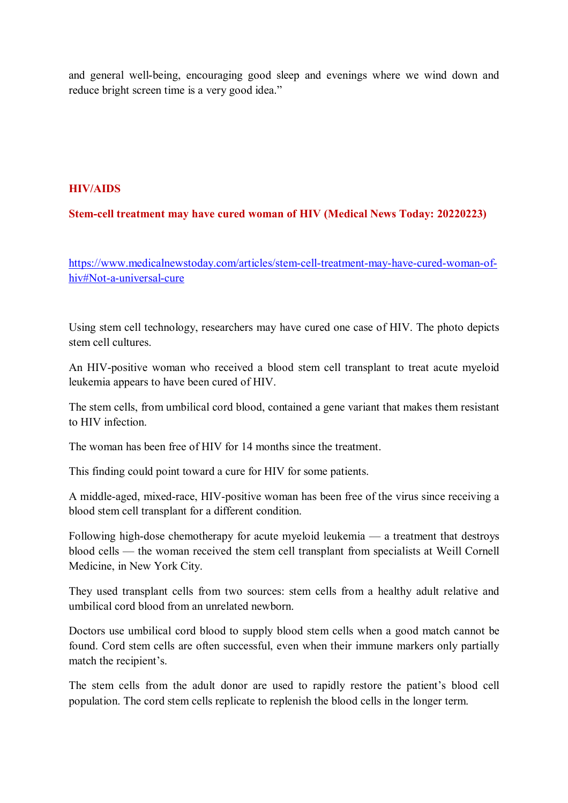and general well-being, encouraging good sleep and evenings where we wind down and reduce bright screen time is a very good idea."

#### **HIV/AIDS**

#### **Stem-cell treatment may have cured woman of HIV (Medical News Today: 20220223)**

https://www.medicalnewstoday.com/articles/stem-cell-treatment-may-have-cured-woman-ofhiv#Not-a-universal-cure

Using stem cell technology, researchers may have cured one case of HIV. The photo depicts stem cell cultures.

An HIV-positive woman who received a blood stem cell transplant to treat acute myeloid leukemia appears to have been cured of HIV.

The stem cells, from umbilical cord blood, contained a gene variant that makes them resistant to HIV infection.

The woman has been free of HIV for 14 months since the treatment.

This finding could point toward a cure for HIV for some patients.

A middle-aged, mixed-race, HIV-positive woman has been free of the virus since receiving a blood stem cell transplant for a different condition.

Following high-dose chemotherapy for acute myeloid leukemia — a treatment that destroys blood cells — the woman received the stem cell transplant from specialists at Weill Cornell Medicine, in New York City.

They used transplant cells from two sources: stem cells from a healthy adult relative and umbilical cord blood from an unrelated newborn.

Doctors use umbilical cord blood to supply blood stem cells when a good match cannot be found. Cord stem cells are often successful, even when their immune markers only partially match the recipient's.

The stem cells from the adult donor are used to rapidly restore the patient's blood cell population. The cord stem cells replicate to replenish the blood cells in the longer term.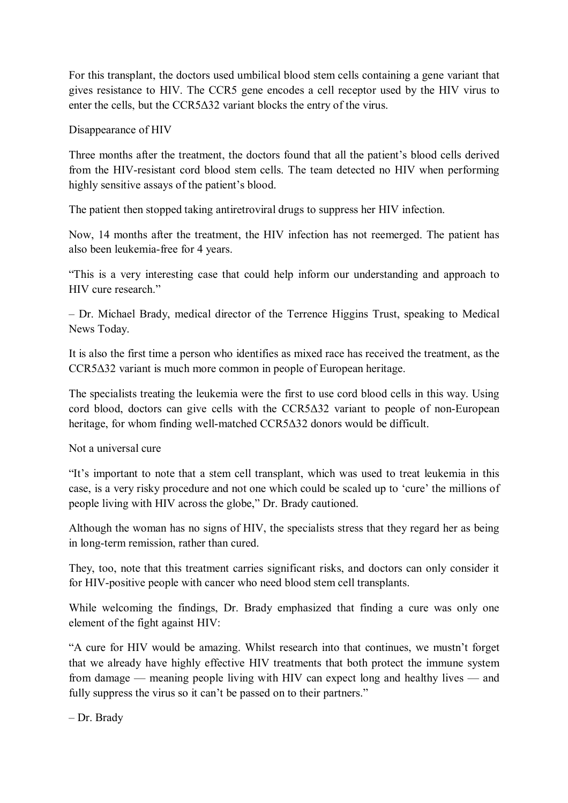For this transplant, the doctors used umbilical blood stem cells containing a gene variant that gives resistance to HIV. The CCR5 gene encodes a cell receptor used by the HIV virus to enter the cells, but the CCR5∆32 variant blocks the entry of the virus.

Disappearance of HIV

Three months after the treatment, the doctors found that all the patient's blood cells derived from the HIV-resistant cord blood stem cells. The team detected no HIV when performing highly sensitive assays of the patient's blood.

The patient then stopped taking antiretroviral drugs to suppress her HIV infection.

Now, 14 months after the treatment, the HIV infection has not reemerged. The patient has also been leukemia-free for 4 years.

"This is a very interesting case that could help inform our understanding and approach to HIV cure research."

– Dr. Michael Brady, medical director of the Terrence Higgins Trust, speaking to Medical News Today.

It is also the first time a person who identifies as mixed race has received the treatment, as the CCR5∆32 variant is much more common in people of European heritage.

The specialists treating the leukemia were the first to use cord blood cells in this way. Using cord blood, doctors can give cells with the CCR5∆32 variant to people of non-European heritage, for whom finding well-matched CCR5∆32 donors would be difficult.

Not a universal cure

"It's important to note that a stem cell transplant, which was used to treat leukemia in this case, is a very risky procedure and not one which could be scaled up to 'cure' the millions of people living with HIV across the globe," Dr. Brady cautioned.

Although the woman has no signs of HIV, the specialists stress that they regard her as being in long-term remission, rather than cured.

They, too, note that this treatment carries significant risks, and doctors can only consider it for HIV-positive people with cancer who need blood stem cell transplants.

While welcoming the findings, Dr. Brady emphasized that finding a cure was only one element of the fight against HIV:

"A cure for HIV would be amazing. Whilst research into that continues, we mustn't forget that we already have highly effective HIV treatments that both protect the immune system from damage — meaning people living with HIV can expect long and healthy lives — and fully suppress the virus so it can't be passed on to their partners."

– Dr. Brady